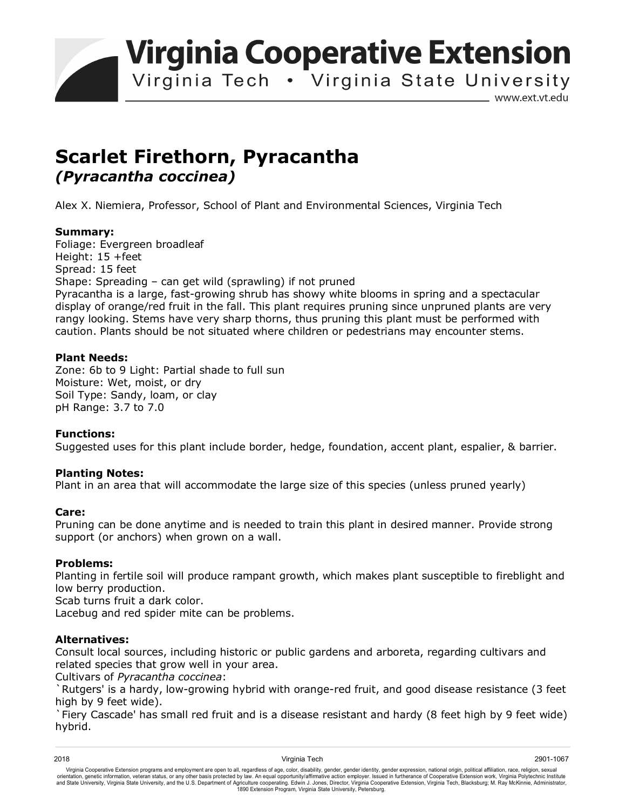**Virginia Cooperative Extension** 

Virginia Tech . Virginia State University

www.ext.vt.edu

# **Scarlet Firethorn, Pyracantha**  *(Pyracantha coccinea)*

Alex X. Niemiera, Professor, School of Plant and Environmental Sciences, Virginia Tech

## **Summary:**

Foliage: Evergreen broadleaf Height:  $15 +$ feet Spread: 15 feet Shape: Spreading – can get wild (sprawling) if not pruned Pyracantha is a large, fast-growing shrub has showy white blooms in spring and a spectacular display of orange/red fruit in the fall. This plant requires pruning since unpruned plants are very rangy looking. Stems have very sharp thorns, thus pruning this plant must be performed with caution. Plants should be not situated where children or pedestrians may encounter stems.

### **Plant Needs:**

Zone: 6b to 9 Light: Partial shade to full sun Moisture: Wet, moist, or dry Soil Type: Sandy, loam, or clay pH Range: 3.7 to 7.0

### **Functions:**

Suggested uses for this plant include border, hedge, foundation, accent plant, espalier, & barrier.

### **Planting Notes:**

Plant in an area that will accommodate the large size of this species (unless pruned yearly)

### **Care:**

Pruning can be done anytime and is needed to train this plant in desired manner. Provide strong support (or anchors) when grown on a wall.

### **Problems:**

Planting in fertile soil will produce rampant growth, which makes plant susceptible to fireblight and low berry production.

Scab turns fruit a dark color.

Lacebug and red spider mite can be problems.

### **Alternatives:**

Consult local sources, including historic or public gardens and arboreta, regarding cultivars and related species that grow well in your area.

Cultivars of *Pyracantha coccinea*:

`Rutgers' is a hardy, low-growing hybrid with orange-red fruit, and good disease resistance (3 feet high by 9 feet wide).

`Fiery Cascade' has small red fruit and is a disease resistant and hardy (8 feet high by 9 feet wide) hybrid.